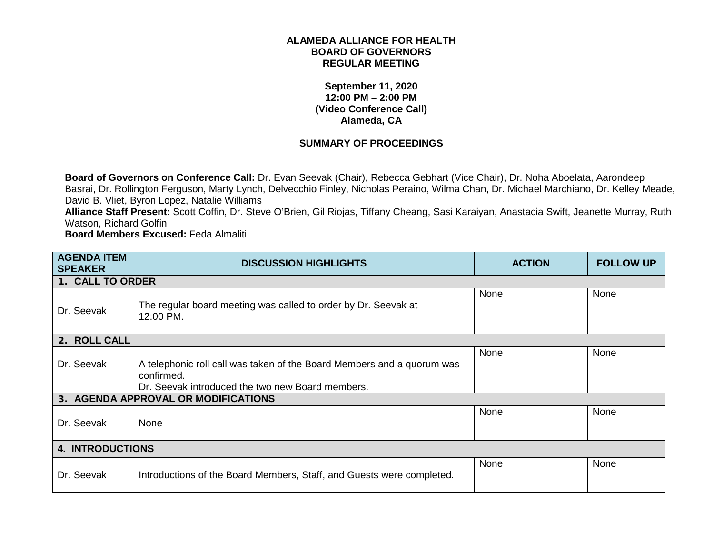## **ALAMEDA ALLIANCE FOR HEALTH BOARD OF GOVERNORS REGULAR MEETING**

## **September 11, 2020 12:00 PM – 2:00 PM (Video Conference Call) Alameda, CA**

## **SUMMARY OF PROCEEDINGS**

**Board of Governors on Conference Call:** Dr. Evan Seevak (Chair), Rebecca Gebhart (Vice Chair), Dr. Noha Aboelata, Aarondeep Basrai, Dr. Rollington Ferguson, Marty Lynch, Delvecchio Finley, Nicholas Peraino, Wilma Chan, Dr. Michael Marchiano, Dr. Kelley Meade, David B. Vliet, Byron Lopez, Natalie Williams

**Alliance Staff Present:** Scott Coffin, Dr. Steve O'Brien, Gil Riojas, Tiffany Cheang, Sasi Karaiyan, Anastacia Swift, Jeanette Murray, Ruth Watson, Richard Golfin

**Board Members Excused:** Feda Almaliti

| <b>AGENDA ITEM</b><br><b>SPEAKER</b> | <b>DISCUSSION HIGHLIGHTS</b>                                                                                                             | <b>ACTION</b> | <b>FOLLOW UP</b> |
|--------------------------------------|------------------------------------------------------------------------------------------------------------------------------------------|---------------|------------------|
| 1. CALL TO ORDER                     |                                                                                                                                          |               |                  |
| Dr. Seevak                           | The regular board meeting was called to order by Dr. Seevak at<br>12:00 PM.                                                              | None          | None             |
| 2. ROLL CALL                         |                                                                                                                                          |               |                  |
| Dr. Seevak                           | A telephonic roll call was taken of the Board Members and a quorum was<br>confirmed.<br>Dr. Seevak introduced the two new Board members. | None          | None             |
|                                      | 3. AGENDA APPROVAL OR MODIFICATIONS                                                                                                      |               |                  |
| Dr. Seevak                           | None                                                                                                                                     | None          | None             |
| <b>4. INTRODUCTIONS</b>              |                                                                                                                                          |               |                  |
| Dr. Seevak                           | Introductions of the Board Members, Staff, and Guests were completed.                                                                    | None          | None             |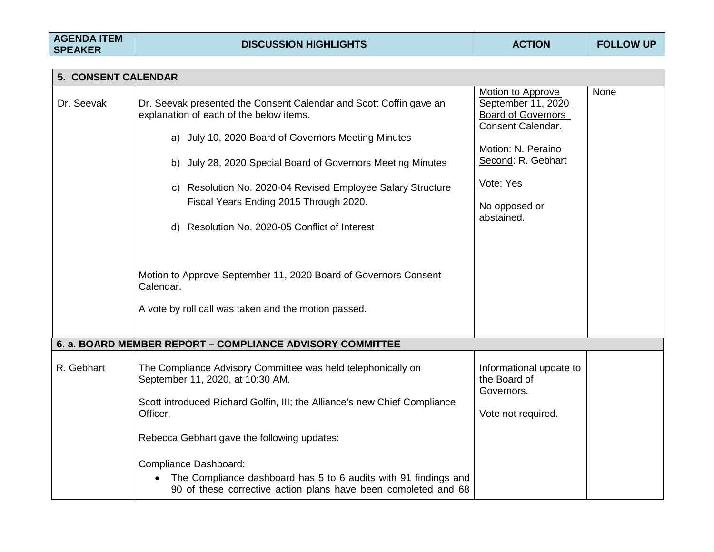| <b>5. CONSENT CALENDAR</b> |                                                                                                                                                                                                                                                                                                                                                                                                                       |                                                                                                           |      |
|----------------------------|-----------------------------------------------------------------------------------------------------------------------------------------------------------------------------------------------------------------------------------------------------------------------------------------------------------------------------------------------------------------------------------------------------------------------|-----------------------------------------------------------------------------------------------------------|------|
| Dr. Seevak                 | Dr. Seevak presented the Consent Calendar and Scott Coffin gave an<br>explanation of each of the below items.                                                                                                                                                                                                                                                                                                         | <b>Motion to Approve</b><br>September 11, 2020<br><b>Board of Governors</b>                               | None |
|                            | a) July 10, 2020 Board of Governors Meeting Minutes<br>b) July 28, 2020 Special Board of Governors Meeting Minutes<br>c) Resolution No. 2020-04 Revised Employee Salary Structure<br>Fiscal Years Ending 2015 Through 2020.<br>d) Resolution No. 2020-05 Conflict of Interest<br>Motion to Approve September 11, 2020 Board of Governors Consent<br>Calendar.<br>A vote by roll call was taken and the motion passed. | Consent Calendar.<br>Motion: N. Peraino<br>Second: R. Gebhart<br>Vote: Yes<br>No opposed or<br>abstained. |      |
|                            | 6. a. BOARD MEMBER REPORT - COMPLIANCE ADVISORY COMMITTEE                                                                                                                                                                                                                                                                                                                                                             |                                                                                                           |      |
| R. Gebhart                 | The Compliance Advisory Committee was held telephonically on<br>September 11, 2020, at 10:30 AM.<br>Scott introduced Richard Golfin, III; the Alliance's new Chief Compliance<br>Officer.<br>Rebecca Gebhart gave the following updates:<br>Compliance Dashboard:<br>The Compliance dashboard has 5 to 6 audits with 91 findings and<br>90 of these corrective action plans have been completed and 68                | Informational update to<br>the Board of<br>Governors.<br>Vote not required.                               |      |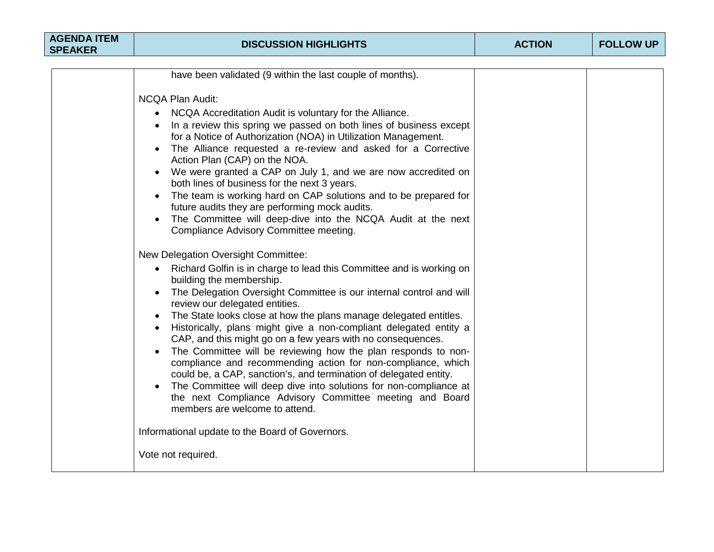| have been validated (9 within the last couple of months).<br><b>NCQA Plan Audit:</b><br>NCQA Accreditation Audit is voluntary for the Alliance.<br>In a review this spring we passed on both lines of business except<br>for a Notice of Authorization (NOA) in Utilization Management.<br>The Alliance requested a re-review and asked for a Corrective<br>Action Plan (CAP) on the NOA.<br>We were granted a CAP on July 1, and we are now accredited on<br>both lines of business for the next 3 years.<br>The team is working hard on CAP solutions and to be prepared for<br>future audits they are performing mock audits.<br>The Committee will deep-dive into the NCQA Audit at the next<br>Compliance Advisory Committee meeting.<br>New Delegation Oversight Committee:<br>• Richard Golfin is in charge to lead this Committee and is working on<br>building the membership.<br>The Delegation Oversight Committee is our internal control and will<br>review our delegated entities.<br>The State looks close at how the plans manage delegated entitles.<br>$\bullet$<br>Historically, plans might give a non-compliant delegated entity a<br>CAP, and this might go on a few years with no consequences.<br>The Committee will be reviewing how the plan responds to non-<br>$\bullet$<br>compliance and recommending action for non-compliance, which<br>could be, a CAP, sanction's, and termination of delegated entity.<br>The Committee will deep dive into solutions for non-compliance at<br>the next Compliance Advisory Committee meeting and Board<br>members are welcome to attend.<br>Informational update to the Board of Governors. | <b>AGENDA ITEM</b><br><b>SPEAKER</b> | <b>DISCUSSION HIGHLIGHTS</b> | <b>ACTION</b> | <b>FOLLOW UP</b> |
|-----------------------------------------------------------------------------------------------------------------------------------------------------------------------------------------------------------------------------------------------------------------------------------------------------------------------------------------------------------------------------------------------------------------------------------------------------------------------------------------------------------------------------------------------------------------------------------------------------------------------------------------------------------------------------------------------------------------------------------------------------------------------------------------------------------------------------------------------------------------------------------------------------------------------------------------------------------------------------------------------------------------------------------------------------------------------------------------------------------------------------------------------------------------------------------------------------------------------------------------------------------------------------------------------------------------------------------------------------------------------------------------------------------------------------------------------------------------------------------------------------------------------------------------------------------------------------------------------------------------------------------------------------------------|--------------------------------------|------------------------------|---------------|------------------|
|                                                                                                                                                                                                                                                                                                                                                                                                                                                                                                                                                                                                                                                                                                                                                                                                                                                                                                                                                                                                                                                                                                                                                                                                                                                                                                                                                                                                                                                                                                                                                                                                                                                                 |                                      |                              |               |                  |
|                                                                                                                                                                                                                                                                                                                                                                                                                                                                                                                                                                                                                                                                                                                                                                                                                                                                                                                                                                                                                                                                                                                                                                                                                                                                                                                                                                                                                                                                                                                                                                                                                                                                 |                                      |                              |               |                  |
| Vote not required.                                                                                                                                                                                                                                                                                                                                                                                                                                                                                                                                                                                                                                                                                                                                                                                                                                                                                                                                                                                                                                                                                                                                                                                                                                                                                                                                                                                                                                                                                                                                                                                                                                              |                                      |                              |               |                  |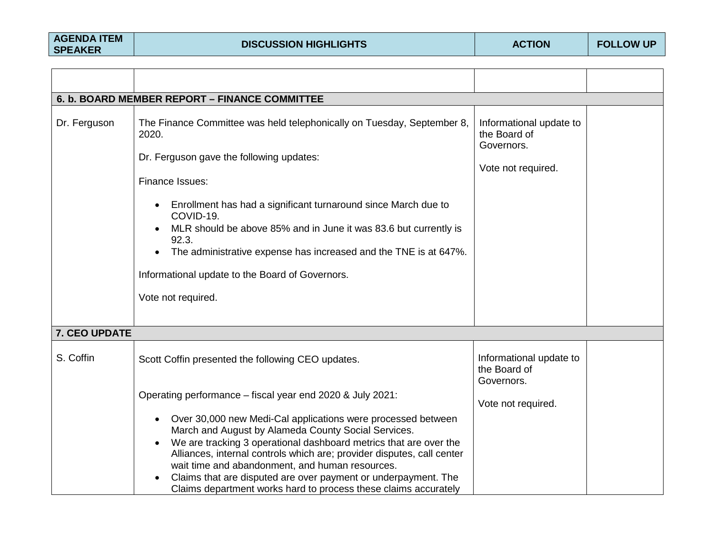|               | 6. b. BOARD MEMBER REPORT - FINANCE COMMITTEE                                                                                                                                                                                                                                                                                                                                                                                                                                                                           |                                                                             |  |
|---------------|-------------------------------------------------------------------------------------------------------------------------------------------------------------------------------------------------------------------------------------------------------------------------------------------------------------------------------------------------------------------------------------------------------------------------------------------------------------------------------------------------------------------------|-----------------------------------------------------------------------------|--|
| Dr. Ferguson  | The Finance Committee was held telephonically on Tuesday, September 8,<br>2020.<br>Dr. Ferguson gave the following updates:<br>Finance Issues:<br>Enrollment has had a significant turnaround since March due to<br>COVID-19.<br>MLR should be above 85% and in June it was 83.6 but currently is<br>92.3.<br>The administrative expense has increased and the TNE is at 647%.<br>Informational update to the Board of Governors.<br>Vote not required.                                                                 | Informational update to<br>the Board of<br>Governors.<br>Vote not required. |  |
| 7. CEO UPDATE |                                                                                                                                                                                                                                                                                                                                                                                                                                                                                                                         |                                                                             |  |
| S. Coffin     | Scott Coffin presented the following CEO updates.                                                                                                                                                                                                                                                                                                                                                                                                                                                                       | Informational update to<br>the Board of<br>Governors.                       |  |
|               | Operating performance - fiscal year end 2020 & July 2021:<br>Over 30,000 new Medi-Cal applications were processed between<br>March and August by Alameda County Social Services.<br>We are tracking 3 operational dashboard metrics that are over the<br>Alliances, internal controls which are; provider disputes, call center<br>wait time and abandonment, and human resources.<br>Claims that are disputed are over payment or underpayment. The<br>Claims department works hard to process these claims accurately | Vote not required.                                                          |  |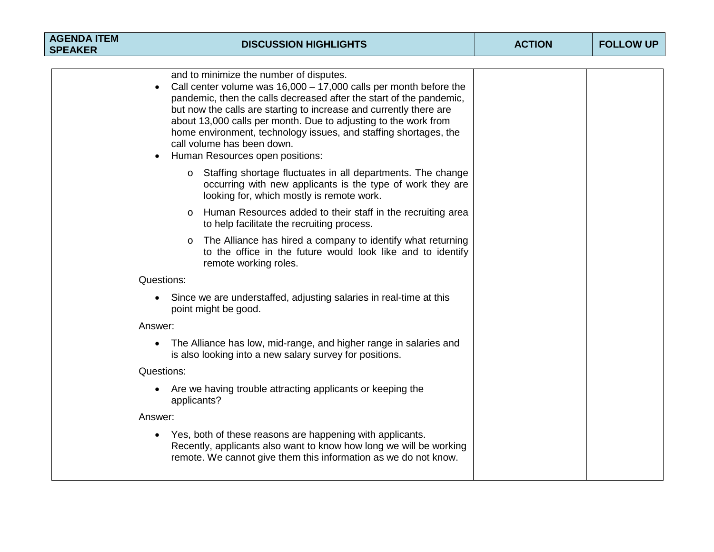| <b>AGENDA ITEM</b><br><b>SPEAKER</b> | <b>DISCUSSION HIGHLIGHTS</b>                                                                                                                                                                                                                                                                                                                                                                                                                                                     | <b>ACTION</b> | <b>FOLLOW UP</b> |
|--------------------------------------|----------------------------------------------------------------------------------------------------------------------------------------------------------------------------------------------------------------------------------------------------------------------------------------------------------------------------------------------------------------------------------------------------------------------------------------------------------------------------------|---------------|------------------|
|                                      |                                                                                                                                                                                                                                                                                                                                                                                                                                                                                  |               |                  |
|                                      | and to minimize the number of disputes.<br>Call center volume was $16,000 - 17,000$ calls per month before the<br>pandemic, then the calls decreased after the start of the pandemic,<br>but now the calls are starting to increase and currently there are<br>about 13,000 calls per month. Due to adjusting to the work from<br>home environment, technology issues, and staffing shortages, the<br>call volume has been down.<br>Human Resources open positions:<br>$\bullet$ |               |                  |
|                                      | Staffing shortage fluctuates in all departments. The change<br>$\circ$<br>occurring with new applicants is the type of work they are<br>looking for, which mostly is remote work.                                                                                                                                                                                                                                                                                                |               |                  |
|                                      | Human Resources added to their staff in the recruiting area<br>$\circ$<br>to help facilitate the recruiting process.                                                                                                                                                                                                                                                                                                                                                             |               |                  |
|                                      | The Alliance has hired a company to identify what returning<br>$\circ$<br>to the office in the future would look like and to identify<br>remote working roles.                                                                                                                                                                                                                                                                                                                   |               |                  |
|                                      | Questions:                                                                                                                                                                                                                                                                                                                                                                                                                                                                       |               |                  |
|                                      | Since we are understaffed, adjusting salaries in real-time at this<br>$\bullet$<br>point might be good.                                                                                                                                                                                                                                                                                                                                                                          |               |                  |
|                                      | Answer:                                                                                                                                                                                                                                                                                                                                                                                                                                                                          |               |                  |
|                                      | The Alliance has low, mid-range, and higher range in salaries and<br>$\bullet$<br>is also looking into a new salary survey for positions.                                                                                                                                                                                                                                                                                                                                        |               |                  |
|                                      | Questions:                                                                                                                                                                                                                                                                                                                                                                                                                                                                       |               |                  |
|                                      | Are we having trouble attracting applicants or keeping the<br>$\bullet$<br>applicants?                                                                                                                                                                                                                                                                                                                                                                                           |               |                  |
|                                      | Answer:                                                                                                                                                                                                                                                                                                                                                                                                                                                                          |               |                  |
|                                      | Yes, both of these reasons are happening with applicants.<br>$\bullet$<br>Recently, applicants also want to know how long we will be working<br>remote. We cannot give them this information as we do not know.                                                                                                                                                                                                                                                                  |               |                  |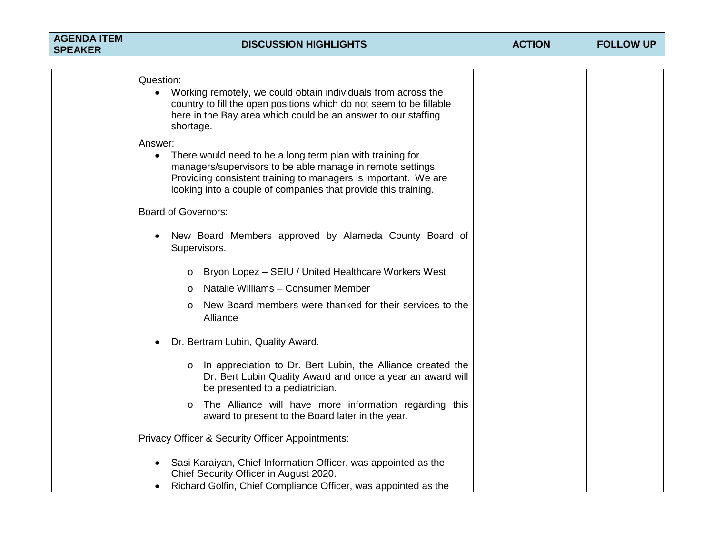| <b>AGENDA ITEM</b><br><b>SPEAKER</b> | <b>DISCUSSION HIGHLIGHTS</b>                                                                                                                                                                                                                                                        | <b>ACTION</b> | <b>FOLLOW UP</b> |
|--------------------------------------|-------------------------------------------------------------------------------------------------------------------------------------------------------------------------------------------------------------------------------------------------------------------------------------|---------------|------------------|
|                                      |                                                                                                                                                                                                                                                                                     |               |                  |
|                                      | Question:<br>• Working remotely, we could obtain individuals from across the<br>country to fill the open positions which do not seem to be fillable<br>here in the Bay area which could be an answer to our staffing<br>shortage.                                                   |               |                  |
|                                      | Answer:<br>There would need to be a long term plan with training for<br>$\bullet$<br>managers/supervisors to be able manage in remote settings.<br>Providing consistent training to managers is important. We are<br>looking into a couple of companies that provide this training. |               |                  |
|                                      | <b>Board of Governors:</b>                                                                                                                                                                                                                                                          |               |                  |
|                                      | New Board Members approved by Alameda County Board of<br>Supervisors.                                                                                                                                                                                                               |               |                  |
|                                      | Bryon Lopez - SEIU / United Healthcare Workers West<br>$\circ$                                                                                                                                                                                                                      |               |                  |
|                                      | Natalie Williams - Consumer Member<br>$\circ$                                                                                                                                                                                                                                       |               |                  |
|                                      | New Board members were thanked for their services to the<br>$\circ$<br>Alliance                                                                                                                                                                                                     |               |                  |
|                                      | Dr. Bertram Lubin, Quality Award.<br>$\bullet$                                                                                                                                                                                                                                      |               |                  |
|                                      | o In appreciation to Dr. Bert Lubin, the Alliance created the<br>Dr. Bert Lubin Quality Award and once a year an award will<br>be presented to a pediatrician.                                                                                                                      |               |                  |
|                                      | The Alliance will have more information regarding this<br>$\circ$<br>award to present to the Board later in the year.                                                                                                                                                               |               |                  |
|                                      | <b>Privacy Officer &amp; Security Officer Appointments:</b>                                                                                                                                                                                                                         |               |                  |
|                                      | • Sasi Karaiyan, Chief Information Officer, was appointed as the<br>Chief Security Officer in August 2020.<br>Richard Golfin, Chief Compliance Officer, was appointed as the<br>$\bullet$                                                                                           |               |                  |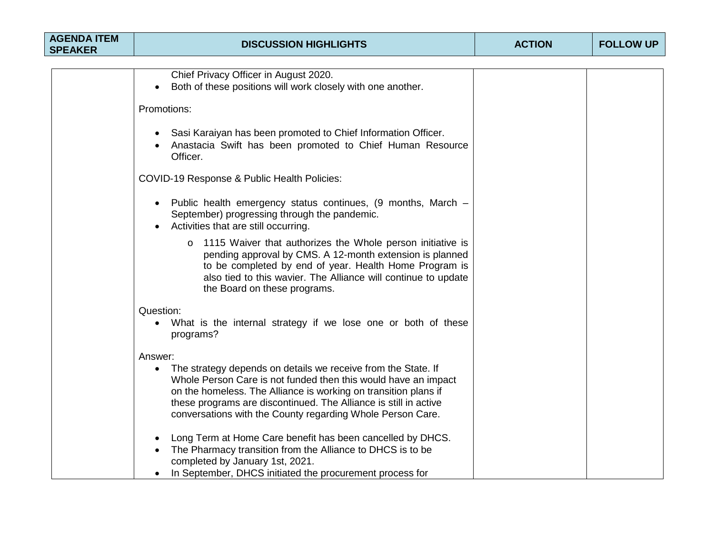| <b>AGENDA ITEM</b><br><b>SPEAKER</b> | <b>DISCUSSION HIGHLIGHTS</b>                                                                                                                                                                                                                                                                                                                                 | <b>ACTION</b> | <b>FOLLOW UP</b> |
|--------------------------------------|--------------------------------------------------------------------------------------------------------------------------------------------------------------------------------------------------------------------------------------------------------------------------------------------------------------------------------------------------------------|---------------|------------------|
|                                      | Chief Privacy Officer in August 2020.                                                                                                                                                                                                                                                                                                                        |               |                  |
|                                      | Both of these positions will work closely with one another.                                                                                                                                                                                                                                                                                                  |               |                  |
|                                      | Promotions:                                                                                                                                                                                                                                                                                                                                                  |               |                  |
|                                      | Sasi Karaiyan has been promoted to Chief Information Officer.<br>Anastacia Swift has been promoted to Chief Human Resource<br>Officer.                                                                                                                                                                                                                       |               |                  |
|                                      | COVID-19 Response & Public Health Policies:                                                                                                                                                                                                                                                                                                                  |               |                  |
|                                      | Public health emergency status continues, (9 months, March –<br>$\bullet$<br>September) progressing through the pandemic.<br>Activities that are still occurring.                                                                                                                                                                                            |               |                  |
|                                      | 1115 Waiver that authorizes the Whole person initiative is<br>$\circ$<br>pending approval by CMS. A 12-month extension is planned<br>to be completed by end of year. Health Home Program is<br>also tied to this wavier. The Alliance will continue to update<br>the Board on these programs.                                                                |               |                  |
|                                      | Question:<br>What is the internal strategy if we lose one or both of these<br>$\bullet$<br>programs?                                                                                                                                                                                                                                                         |               |                  |
|                                      | Answer:<br>The strategy depends on details we receive from the State. If<br>$\bullet$<br>Whole Person Care is not funded then this would have an impact<br>on the homeless. The Alliance is working on transition plans if<br>these programs are discontinued. The Alliance is still in active<br>conversations with the County regarding Whole Person Care. |               |                  |
|                                      | Long Term at Home Care benefit has been cancelled by DHCS.<br>The Pharmacy transition from the Alliance to DHCS is to be<br>completed by January 1st, 2021.<br>In September, DHCS initiated the procurement process for                                                                                                                                      |               |                  |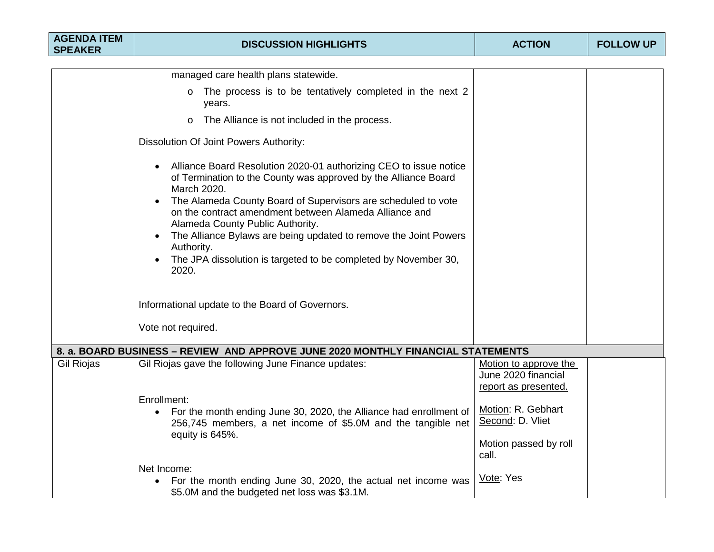| <b>AGENDA ITEM</b><br><b>SPEAKER</b> | <b>DISCUSSION HIGHLIGHTS</b>                                                                                                                                                                                                                                                                                                                                                                                                                                                     | <b>ACTION</b>                                                            | <b>FOLLOW UP</b> |
|--------------------------------------|----------------------------------------------------------------------------------------------------------------------------------------------------------------------------------------------------------------------------------------------------------------------------------------------------------------------------------------------------------------------------------------------------------------------------------------------------------------------------------|--------------------------------------------------------------------------|------------------|
|                                      |                                                                                                                                                                                                                                                                                                                                                                                                                                                                                  |                                                                          |                  |
|                                      | managed care health plans statewide.                                                                                                                                                                                                                                                                                                                                                                                                                                             |                                                                          |                  |
|                                      | o The process is to be tentatively completed in the next 2<br>years.                                                                                                                                                                                                                                                                                                                                                                                                             |                                                                          |                  |
|                                      | The Alliance is not included in the process.<br>$\circ$                                                                                                                                                                                                                                                                                                                                                                                                                          |                                                                          |                  |
|                                      | Dissolution Of Joint Powers Authority:                                                                                                                                                                                                                                                                                                                                                                                                                                           |                                                                          |                  |
|                                      | Alliance Board Resolution 2020-01 authorizing CEO to issue notice<br>of Termination to the County was approved by the Alliance Board<br>March 2020.<br>The Alameda County Board of Supervisors are scheduled to vote<br>on the contract amendment between Alameda Alliance and<br>Alameda County Public Authority.<br>The Alliance Bylaws are being updated to remove the Joint Powers<br>Authority.<br>The JPA dissolution is targeted to be completed by November 30,<br>2020. |                                                                          |                  |
|                                      | Informational update to the Board of Governors.                                                                                                                                                                                                                                                                                                                                                                                                                                  |                                                                          |                  |
|                                      | Vote not required.                                                                                                                                                                                                                                                                                                                                                                                                                                                               |                                                                          |                  |
|                                      | 8. a. BOARD BUSINESS – REVIEW AND APPROVE JUNE 2020 MONTHLY FINANCIAL STATEMENTS                                                                                                                                                                                                                                                                                                                                                                                                 |                                                                          |                  |
| <b>Gil Riojas</b>                    | Gil Riojas gave the following June Finance updates:                                                                                                                                                                                                                                                                                                                                                                                                                              | Motion to approve the<br>June 2020 financial<br>report as presented.     |                  |
|                                      | Enrollment:<br>For the month ending June 30, 2020, the Alliance had enrollment of<br>256,745 members, a net income of \$5.0M and the tangible net<br>equity is 645%.                                                                                                                                                                                                                                                                                                             | Motion: R. Gebhart<br>Second: D. Vliet<br>Motion passed by roll<br>call. |                  |
|                                      | Net Income:<br>For the month ending June 30, 2020, the actual net income was<br>\$5.0M and the budgeted net loss was \$3.1M.                                                                                                                                                                                                                                                                                                                                                     | Vote: Yes                                                                |                  |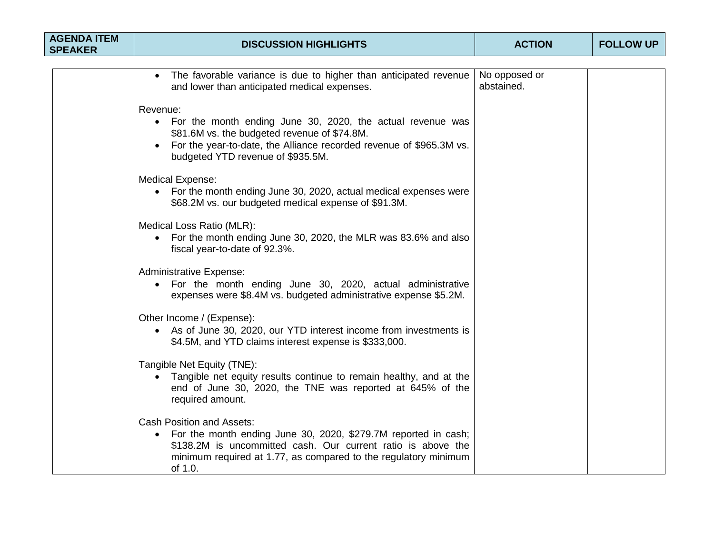| <b>AGENDA ITEM</b><br><b>SPEAKER</b> | <b>DISCUSSION HIGHLIGHTS</b>                                                                                                                                                                                                                       | <b>ACTION</b>               | <b>FOLLOW UP</b> |
|--------------------------------------|----------------------------------------------------------------------------------------------------------------------------------------------------------------------------------------------------------------------------------------------------|-----------------------------|------------------|
|                                      |                                                                                                                                                                                                                                                    |                             |                  |
|                                      | The favorable variance is due to higher than anticipated revenue<br>$\bullet$<br>and lower than anticipated medical expenses.                                                                                                                      | No opposed or<br>abstained. |                  |
|                                      | Revenue:<br>• For the month ending June 30, 2020, the actual revenue was<br>\$81.6M vs. the budgeted revenue of \$74.8M.<br>For the year-to-date, the Alliance recorded revenue of \$965.3M vs.<br>budgeted YTD revenue of \$935.5M.               |                             |                  |
|                                      | <b>Medical Expense:</b><br>• For the month ending June 30, 2020, actual medical expenses were<br>\$68.2M vs. our budgeted medical expense of \$91.3M.                                                                                              |                             |                  |
|                                      | Medical Loss Ratio (MLR):<br>• For the month ending June 30, 2020, the MLR was 83.6% and also<br>fiscal year-to-date of 92.3%.                                                                                                                     |                             |                  |
|                                      | <b>Administrative Expense:</b><br>• For the month ending June 30, 2020, actual administrative<br>expenses were \$8.4M vs. budgeted administrative expense \$5.2M.                                                                                  |                             |                  |
|                                      | Other Income / (Expense):<br>• As of June 30, 2020, our YTD interest income from investments is<br>\$4.5M, and YTD claims interest expense is \$333,000.                                                                                           |                             |                  |
|                                      | Tangible Net Equity (TNE):<br>• Tangible net equity results continue to remain healthy, and at the<br>end of June 30, 2020, the TNE was reported at 645% of the<br>required amount.                                                                |                             |                  |
|                                      | <b>Cash Position and Assets:</b><br>• For the month ending June 30, 2020, \$279.7M reported in cash;<br>\$138.2M is uncommitted cash. Our current ratio is above the<br>minimum required at 1.77, as compared to the regulatory minimum<br>of 1.0. |                             |                  |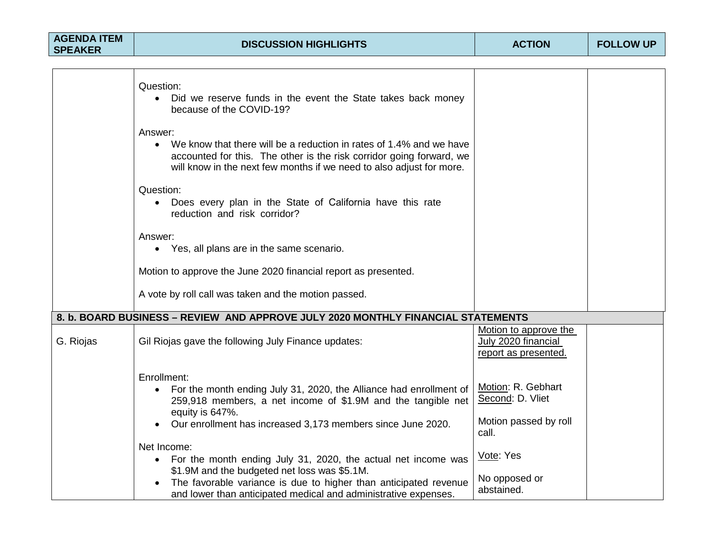| <b>AGENDA ITEM</b><br><b>SPEAKER</b> | <b>DISCUSSION HIGHLIGHTS</b>                                                                                                                                                                                                                                      | <b>ACTION</b>                                                            | <b>FOLLOW UP</b> |
|--------------------------------------|-------------------------------------------------------------------------------------------------------------------------------------------------------------------------------------------------------------------------------------------------------------------|--------------------------------------------------------------------------|------------------|
|                                      |                                                                                                                                                                                                                                                                   |                                                                          |                  |
|                                      | Question:<br>Did we reserve funds in the event the State takes back money<br>$\bullet$<br>because of the COVID-19?                                                                                                                                                |                                                                          |                  |
|                                      | Answer:<br>• We know that there will be a reduction in rates of 1.4% and we have<br>accounted for this. The other is the risk corridor going forward, we<br>will know in the next few months if we need to also adjust for more.                                  |                                                                          |                  |
|                                      | Question:<br>Does every plan in the State of California have this rate<br>reduction and risk corridor?                                                                                                                                                            |                                                                          |                  |
|                                      | Answer:<br>• Yes, all plans are in the same scenario.                                                                                                                                                                                                             |                                                                          |                  |
|                                      | Motion to approve the June 2020 financial report as presented.                                                                                                                                                                                                    |                                                                          |                  |
|                                      | A vote by roll call was taken and the motion passed.                                                                                                                                                                                                              |                                                                          |                  |
|                                      | 8. b. BOARD BUSINESS - REVIEW AND APPROVE JULY 2020 MONTHLY FINANCIAL STATEMENTS                                                                                                                                                                                  |                                                                          |                  |
| G. Riojas                            | Gil Riojas gave the following July Finance updates:                                                                                                                                                                                                               | Motion to approve the<br>July 2020 financial<br>report as presented.     |                  |
|                                      | Enrollment:<br>For the month ending July 31, 2020, the Alliance had enrollment of<br>259,918 members, a net income of \$1.9M and the tangible net<br>equity is 647%.<br>Our enrollment has increased 3,173 members since June 2020.<br>Net Income:                | Motion: R. Gebhart<br>Second: D. Vliet<br>Motion passed by roll<br>call. |                  |
|                                      | For the month ending July 31, 2020, the actual net income was<br>$\bullet$<br>\$1.9M and the budgeted net loss was \$5.1M.<br>The favorable variance is due to higher than anticipated revenue<br>and lower than anticipated medical and administrative expenses. | Vote: Yes<br>No opposed or<br>abstained.                                 |                  |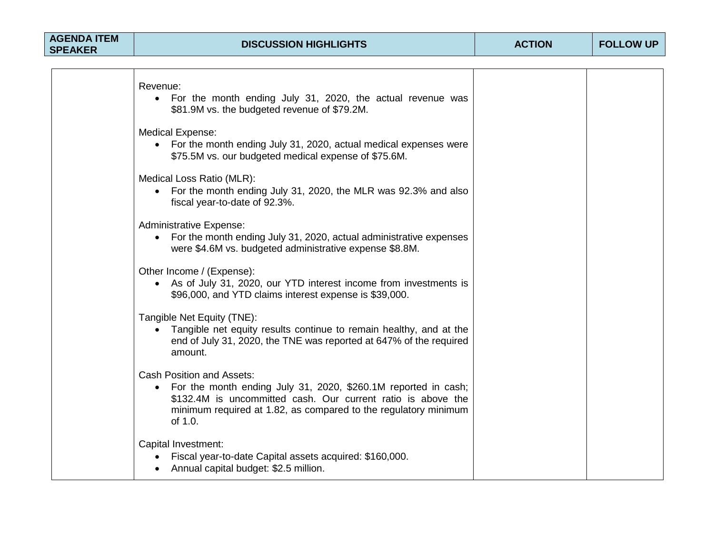| <b>AGENDA ITEM</b><br><b>SPEAKER</b> | <b>DISCUSSION HIGHLIGHTS</b>                                                                                                                                                                                                                       | <b>ACTION</b> | <b>FOLLOW UP</b> |
|--------------------------------------|----------------------------------------------------------------------------------------------------------------------------------------------------------------------------------------------------------------------------------------------------|---------------|------------------|
|                                      |                                                                                                                                                                                                                                                    |               |                  |
|                                      | Revenue:<br>• For the month ending July 31, 2020, the actual revenue was<br>\$81.9M vs. the budgeted revenue of \$79.2M.                                                                                                                           |               |                  |
|                                      | <b>Medical Expense:</b><br>• For the month ending July 31, 2020, actual medical expenses were<br>\$75.5M vs. our budgeted medical expense of \$75.6M.                                                                                              |               |                  |
|                                      | Medical Loss Ratio (MLR):<br>• For the month ending July 31, 2020, the MLR was 92.3% and also<br>fiscal year-to-date of 92.3%.                                                                                                                     |               |                  |
|                                      | <b>Administrative Expense:</b><br>• For the month ending July 31, 2020, actual administrative expenses<br>were \$4.6M vs. budgeted administrative expense \$8.8M.                                                                                  |               |                  |
|                                      | Other Income / (Expense):<br>• As of July 31, 2020, our YTD interest income from investments is<br>\$96,000, and YTD claims interest expense is \$39,000.                                                                                          |               |                  |
|                                      | Tangible Net Equity (TNE):<br>Tangible net equity results continue to remain healthy, and at the<br>$\bullet$<br>end of July 31, 2020, the TNE was reported at 647% of the required<br>amount.                                                     |               |                  |
|                                      | <b>Cash Position and Assets:</b><br>• For the month ending July 31, 2020, \$260.1M reported in cash;<br>\$132.4M is uncommitted cash. Our current ratio is above the<br>minimum required at 1.82, as compared to the regulatory minimum<br>of 1.0. |               |                  |
|                                      | Capital Investment:<br>Fiscal year-to-date Capital assets acquired: \$160,000.<br>Annual capital budget: \$2.5 million.<br>$\bullet$                                                                                                               |               |                  |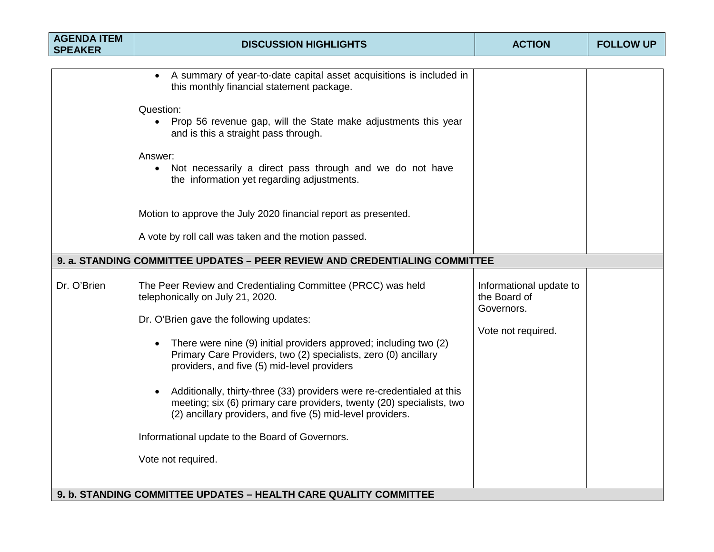| <b>AGENDA ITEM</b><br><b>SPEAKER</b> | <b>DISCUSSION HIGHLIGHTS</b>                                                                                                                                                                                                                                                                                                                                                                                                                                                                                                                                                                                                                                                                    | <b>ACTION</b>                                                               | <b>FOLLOW UP</b> |
|--------------------------------------|-------------------------------------------------------------------------------------------------------------------------------------------------------------------------------------------------------------------------------------------------------------------------------------------------------------------------------------------------------------------------------------------------------------------------------------------------------------------------------------------------------------------------------------------------------------------------------------------------------------------------------------------------------------------------------------------------|-----------------------------------------------------------------------------|------------------|
|                                      |                                                                                                                                                                                                                                                                                                                                                                                                                                                                                                                                                                                                                                                                                                 |                                                                             |                  |
|                                      | A summary of year-to-date capital asset acquisitions is included in<br>this monthly financial statement package.<br>Question:<br>Prop 56 revenue gap, will the State make adjustments this year<br>$\bullet$<br>and is this a straight pass through.<br>Answer:<br>Not necessarily a direct pass through and we do not have<br>$\bullet$<br>the information yet regarding adjustments.<br>Motion to approve the July 2020 financial report as presented.                                                                                                                                                                                                                                        |                                                                             |                  |
|                                      | A vote by roll call was taken and the motion passed.                                                                                                                                                                                                                                                                                                                                                                                                                                                                                                                                                                                                                                            |                                                                             |                  |
|                                      | 9. a. STANDING COMMITTEE UPDATES - PEER REVIEW AND CREDENTIALING COMMITTEE                                                                                                                                                                                                                                                                                                                                                                                                                                                                                                                                                                                                                      |                                                                             |                  |
| Dr. O'Brien                          | The Peer Review and Credentialing Committee (PRCC) was held<br>telephonically on July 21, 2020.<br>Dr. O'Brien gave the following updates:<br>There were nine (9) initial providers approved; including two (2)<br>Primary Care Providers, two (2) specialists, zero (0) ancillary<br>providers, and five (5) mid-level providers<br>Additionally, thirty-three (33) providers were re-credentialed at this<br>meeting; six (6) primary care providers, twenty (20) specialists, two<br>(2) ancillary providers, and five (5) mid-level providers.<br>Informational update to the Board of Governors.<br>Vote not required.<br>9. b. STANDING COMMITTEE UPDATES - HEALTH CARE QUALITY COMMITTEE | Informational update to<br>the Board of<br>Governors.<br>Vote not required. |                  |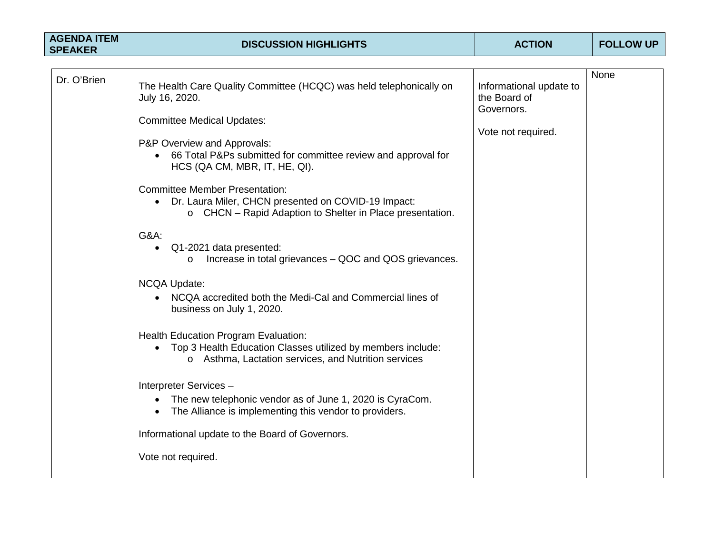| <b>AGENDA ITEM</b><br><b>SPEAKER</b> | <b>DISCUSSION HIGHLIGHTS</b>                                                                                                                                                                                                                                                                                                                                                                                                                                                                                                                                                                                                                                                                                                                                                                                                                                                                                                                                                                                                                                                              | <b>ACTION</b>                                                               | <b>FOLLOW UP</b> |
|--------------------------------------|-------------------------------------------------------------------------------------------------------------------------------------------------------------------------------------------------------------------------------------------------------------------------------------------------------------------------------------------------------------------------------------------------------------------------------------------------------------------------------------------------------------------------------------------------------------------------------------------------------------------------------------------------------------------------------------------------------------------------------------------------------------------------------------------------------------------------------------------------------------------------------------------------------------------------------------------------------------------------------------------------------------------------------------------------------------------------------------------|-----------------------------------------------------------------------------|------------------|
|                                      |                                                                                                                                                                                                                                                                                                                                                                                                                                                                                                                                                                                                                                                                                                                                                                                                                                                                                                                                                                                                                                                                                           |                                                                             |                  |
| Dr. O'Brien                          | The Health Care Quality Committee (HCQC) was held telephonically on<br>July 16, 2020.<br><b>Committee Medical Updates:</b><br>P&P Overview and Approvals:<br>• 66 Total P&Ps submitted for committee review and approval for<br>HCS (QA CM, MBR, IT, HE, QI).<br><b>Committee Member Presentation:</b><br>Dr. Laura Miler, CHCN presented on COVID-19 Impact:<br>o CHCN - Rapid Adaption to Shelter in Place presentation.<br>G&A:<br>Q1-2021 data presented:<br>$\bullet$<br>Increase in total grievances – QOC and QOS grievances.<br>$\circ$<br>NCQA Update:<br>NCQA accredited both the Medi-Cal and Commercial lines of<br>$\bullet$<br>business on July 1, 2020.<br>Health Education Program Evaluation:<br>• Top 3 Health Education Classes utilized by members include:<br>o Asthma, Lactation services, and Nutrition services<br>Interpreter Services-<br>The new telephonic vendor as of June 1, 2020 is CyraCom.<br>$\bullet$<br>The Alliance is implementing this vendor to providers.<br>$\bullet$<br>Informational update to the Board of Governors.<br>Vote not required. | Informational update to<br>the Board of<br>Governors.<br>Vote not required. | None             |
|                                      |                                                                                                                                                                                                                                                                                                                                                                                                                                                                                                                                                                                                                                                                                                                                                                                                                                                                                                                                                                                                                                                                                           |                                                                             |                  |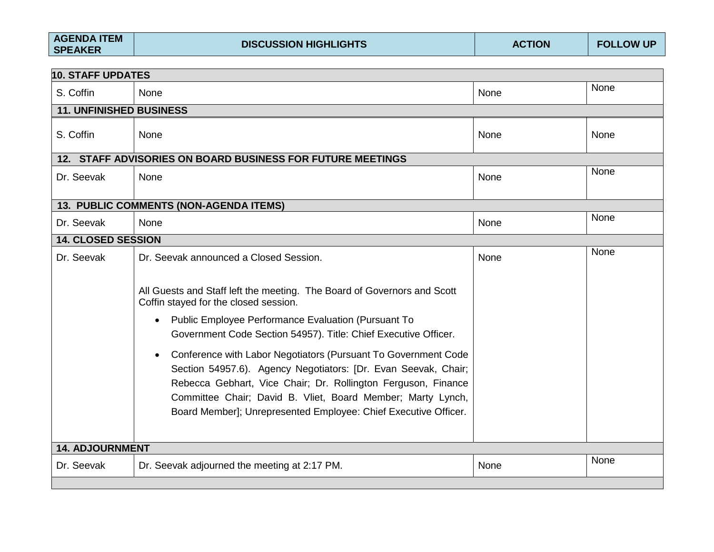| <b>AGENDA ITEM</b> | <b>DISCUSSION HIGHLIGHTS</b> | <b>ACTION</b> | <b>FOLLOW UP</b> |
|--------------------|------------------------------|---------------|------------------|
| <b>SPEAKER</b>     |                              |               |                  |

| <b>10. STAFF UPDATES</b>       |                                                                                                                                                                                                                                                                                                                                                  |      |      |  |
|--------------------------------|--------------------------------------------------------------------------------------------------------------------------------------------------------------------------------------------------------------------------------------------------------------------------------------------------------------------------------------------------|------|------|--|
| S. Coffin                      | None                                                                                                                                                                                                                                                                                                                                             | None | None |  |
| <b>11. UNFINISHED BUSINESS</b> |                                                                                                                                                                                                                                                                                                                                                  |      |      |  |
| S. Coffin                      | None                                                                                                                                                                                                                                                                                                                                             | None | None |  |
|                                | 12. STAFF ADVISORIES ON BOARD BUSINESS FOR FUTURE MEETINGS                                                                                                                                                                                                                                                                                       |      |      |  |
| Dr. Seevak                     | None                                                                                                                                                                                                                                                                                                                                             | None | None |  |
|                                | <b>13. PUBLIC COMMENTS (NON-AGENDA ITEMS)</b>                                                                                                                                                                                                                                                                                                    |      |      |  |
| Dr. Seevak                     | None                                                                                                                                                                                                                                                                                                                                             | None | None |  |
| 14. CLOSED SESSION             |                                                                                                                                                                                                                                                                                                                                                  |      |      |  |
| Dr. Seevak                     | Dr. Seevak announced a Closed Session.                                                                                                                                                                                                                                                                                                           | None | None |  |
|                                | All Guests and Staff left the meeting. The Board of Governors and Scott<br>Coffin stayed for the closed session.                                                                                                                                                                                                                                 |      |      |  |
|                                | <b>Public Employee Performance Evaluation (Pursuant To</b><br>$\bullet$<br>Government Code Section 54957). Title: Chief Executive Officer.                                                                                                                                                                                                       |      |      |  |
|                                | Conference with Labor Negotiators (Pursuant To Government Code<br>$\bullet$<br>Section 54957.6). Agency Negotiators: [Dr. Evan Seevak, Chair;<br>Rebecca Gebhart, Vice Chair; Dr. Rollington Ferguson, Finance<br>Committee Chair; David B. Vliet, Board Member; Marty Lynch,<br>Board Member]; Unrepresented Employee: Chief Executive Officer. |      |      |  |
| <b>14. ADJOURNMENT</b>         |                                                                                                                                                                                                                                                                                                                                                  |      |      |  |
| Dr. Seevak                     | Dr. Seevak adjourned the meeting at 2:17 PM.                                                                                                                                                                                                                                                                                                     | None | None |  |
|                                |                                                                                                                                                                                                                                                                                                                                                  |      |      |  |